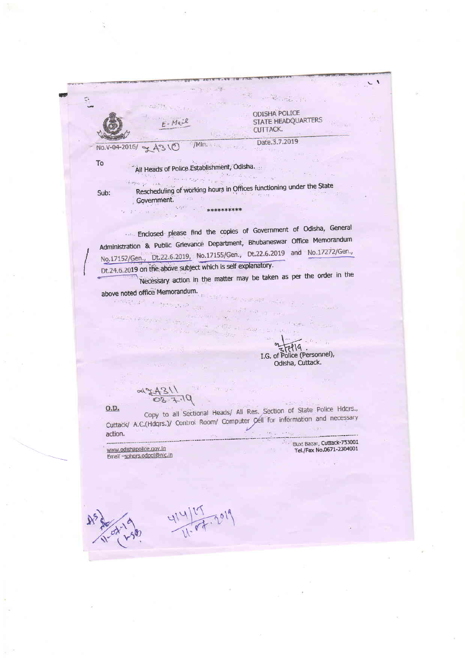$\mathcal{L} = \mathcal{L}^2 \left( \mathcal{L}^2 \left( \mathcal{L}^2 \right) \right) \mathcal{L}^2 \left( \mathcal{L}^2 \right) \mathcal{L}^2 \left( \mathcal{L}^2 \right)$ ODISHA POLICE STATE HEADQUARTERS CUTTACK. Date.3.7.2019 /Min. Alley No.V-04-2016/ - 4310 **To** All Heads of Police Establishment, Odisha. Environments. Rescheduling of working hours in Offices functioning under the State Sub: Government. and the see  $T = 0.5$   $T = 0.02$ \*\*\*\*\*\*\*\*\*\*

Enclosed please find the copies of Government of Odisha, General Administration & Public Grievance Department, Bhubaneswar Office Memorandum No.17152/Gen., Dt.22.6.2019, No.17155/Gen., Dt.22.6.2019 and No.17272/Gen., Dt.24.6.2019 on the above subject which is self explanatory.

Necessary action in the matter may be taken as per the order in the above noted office Memorandum.

 $x \in \mathbb{R}$ 

 $57719$ . I.G. of Police (Personnel), Odisha, Cuttack.

Copy to all Sectional Heads/ All Res. Section of State Police Hdgrs.,  $0.D.$ Cuttack/ A.C.(Hdqrs.)/ Control Room/ Computer Cell for information and necessary action.

www.odishapolice.gov.in Email -sphgrs.odpol@nic.in

 $\label{eq:3.1} \mathcal{F}=\left\{ \begin{array}{ll} \mathcal{F}_{\mathcal{A}}(\mathcal{A}_{\mathcal{A}}) & \mathcal{F}_{\mathcal{A}}(\mathcal{A}_{\mathcal{A}}) \\ \mathcal{F}_{\mathcal{A}}(\mathcal{A}_{\mathcal{A}}) & \mathcal{F}_{\mathcal{A}}(\mathcal{A}_{\mathcal{A}}) \end{array} \right.$ 

 $74311$ <br> $03.7.19$ 

Bux! Bazar, Cuttack-753001 Tel./Fax No.0671-2304001

414/07.2019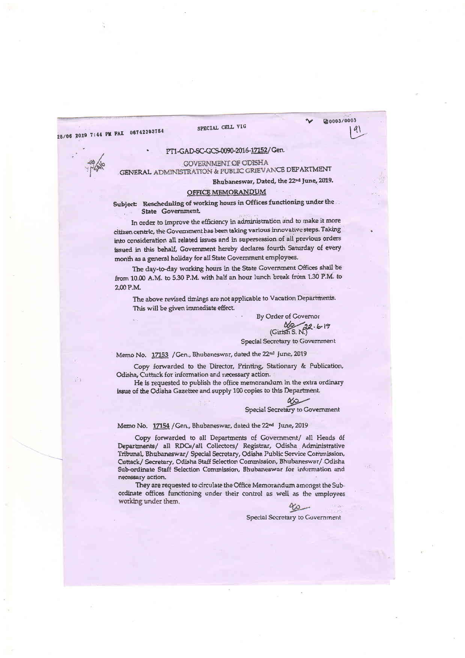25/06 2019 7:44 PM FAX 06742393754

#### SPECIAL CELL VIG



## PT1-GAD-SC-GCS-0090-2016-17152/Gen.



**GOVERNMENT OF ODISHA** GENERAL ADMINISTRATION & PUBLIC GRIEVANCE DEPARTMENT

Bhubaneswar, Dated, the 22<sup>nd</sup> June, 2019.

#### OFFICE MEMORANDUM

Subject Rescheduling of working hours in Offices functioning under the State Government.

In order to improve the efficiency in administration and to make it more citizen centric, the Government has been taking various innovative steps. Taking into consideration all related issues and in supersession of all previous orders issued in this behalf, Government hereby declares fourth Saturday of every month as a general holiday for all State Government employees.

The day-to-day working hours in the State Government Offices shall be from 10.00 A.M. to 5.30 P.M. with half an hour lunch break from 1.30 P.M. to 2.00 P.M.

The above revised timings are not applicable to Vacation Departments. This will be given immediate effect.

> By Order of Governor  $\frac{N}{(Girish S. N)}$   $(6.19)$

# Special Secretary to Government

Memo No. 17153 / Gen., Bhubaneswar, dated the 22<sup>nd</sup> June, 2019

Copy forwarded to the Director, Printing, Stationary & Publication, Odisha, Cuttack for information and necessary action.

He is requested to publish the office memorandum in the extra ordinary issue of the Odisha Gazettee and supply 100 copies to this Department.

Special Secretary to Government

Memo No. 17154 / Gen., Bhubaneswar, dated the 22<sup>nd</sup> June, 2019

Copy forwarded to all Departments of Government/ all Heads of Departments/ all RDCs/all Collectors/ Registrar, Odisha Administrative Tribunal, Bhubaneswar/ Special Secretary, Odisha Public Service Commission, Cuttack/ Secretary, Odisha Staff Selection Commission, Bhubaneswar/ Odisha Sub-ordinate Staff Selection Commission, Bhubaneswar for information and necessary action.

They are requested to circulate the Office Memorandum amongst the Subordinate offices functioning under their control as well as the employees working under them.

 $\alpha$ 

Special Secretary to Government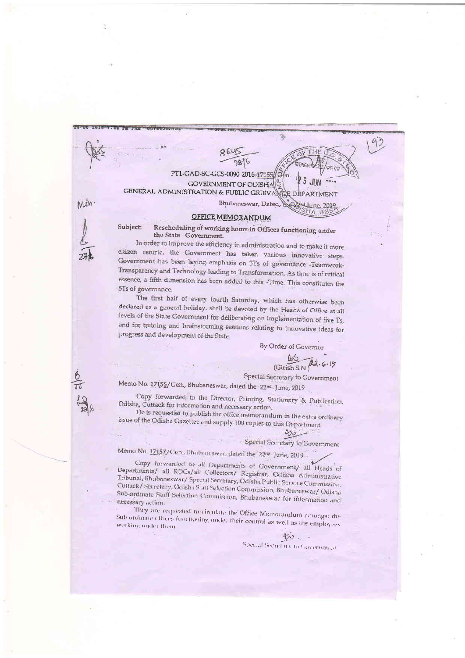$92$ THE R Q 28/6 PT1-GAD-SC-GCS-0090 2016-171 **GOVERNMENT OF ODISH** GENERAL ADMINISTRATION & PUBLIC GRIEV ARTMENT nin. Bhubaneswar, Dated, the

## **OFFICE MEMORANDUM**

Rescheduling of working hours in Offices functioning under Subject the State Government.

In order to improve the efficiency in administration and to make it more citizen centric, the Government has taken various innovative steps. Government has been laying emphasis on 3Ts of governance -Teamwork-Transparency and Technology leading to Transformation. As time is of critical essence, a fifth dimension has been added to this -Time. This constitutes the 5Ts of governance.

The first half of every fourth Saturday, which has otherwise been declared as a general holiday, shall be devoted by the Heads of Office at all levels of the State Government for deliberating on implementation of five Ts, and for training and brainstorming sessions relating to innovative ideas for progress and development of the State.

By Order of Governor

 $\underbrace{06}{\text{Girish S.N}}$   $\overline{a}a.6.19$ 

FIG

Special Secretary to Government

Memo No. 17156/Gen., Bhubaneswar, dated the 22nd June, 2019

Copy forwarded to the Director, Printing, Stationary & Publication, Odisha, Cuttack for information and necessary action.

He is requested to publish the office memorandum in the extra ordinary issue of the Odisha Gazettee and supply 100 copies to this Department.

 $80 -$ Special Secretary to Government

Memo No. 17157/Cen, Blubaneswar, dated the 22nd June, 2019

Copy forwarded to all Departments of Government/ all Heads of Departments/ all RDCs/all Collectors/ Registrar, Odisha Administrative Tribunal, Bhubaneswar/ Special Secretary, Odisha Public Service Commission, Cuttack/ Secretary, Odisha Statt Selection Commission, Bhubaneswar/ Odisha Sub-ordinate Staff Selection Commission, Bhubaneswar for information and necessary action.

They are requested to circulate the Office Memorandum amongst the Sub ordinate others functioning under their control as well as the employees working under them.

Special Secretary to Covernment